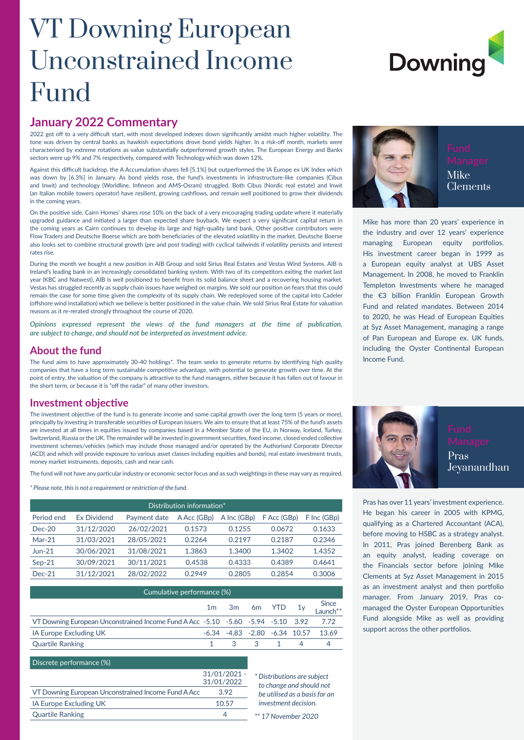## VT Downing European Unconstrained Income Fund

# **Downing**

#### **January 2022 Commentary**

2022 got off to a very difficult start, with most developed indexes down significantly amidst much higher volatility. The tone was driven by central banks as hawkish expectations drove bond yields higher. In a risk-off month, markets were characterised by extreme rotations as value substantially outperformed growth styles. The European Energy and Banks sectors were up 9% and 7% respectively, compared with Technology which was down 12%.

Against this difficult backdrop, the A Accumulation shares fell [5.1%] but outperformed the IA Europe ex UK Index which was down by [6.3%] in January. As bond yields rose, the fund's investments in infrastructure-like companies (Cibus and Inwit) and technology (Worldline, Infineon and AMS-Osram) struggled. Both Cibus (Nordic real estate) and Inwit (an Italian mobile towers operator) have resilient, growing cashflows, and remain well positioned to grow their dividends in the coming years.

On the positive side, Cairn Homes' shares rose 10% on the back of a very encouraging trading update where it materially upgraded guidance and initiated a larger than expected share buyback. We expect a very significant capital return in the coming years as Cairn continues to develop its large and high-quality land bank. Other positive contributors were Flow Traders and Deutsche Boerse which are both beneficiaries of the elevated volatility in the market. Deutsche Boerse also looks set to combine structural growth (pre and post trading) with cyclical tailwinds if volatility persists and interest rates rise.

During the month we bought a new position in AIB Group and sold Sirius Real Estates and Vestas Wind Systems. AIB is Ireland's leading bank in an increasingly consolidated banking system. With two of its competitors exiting the market last year (KBC and Natwest), AIB is well positioned to benefit from its solid balance sheet and a recovering housing market. Vestas has struggled recently as supply chain issues have weighed on margins. We sold our position on fears that this could remain the case for some time given the complexity of its supply chain. We redeployed some of the capital into Cadeler (offshore wind installation) which we believe is better positioned in the value chain. We sold Sirius Real Estate for valuation reasons as it re-rerated strongly throughout the course of 2020.

*Opinions expressed represent the views of the fund managers at the time of publication, are subject to change, and should not be interpreted as investment advice.*

#### **About the fund**

The fund aims to have approximately 30-40 holdings\*. The team seeks to generate returns by identifying high quality companies that have a long term sustainable competitive advantage, with potential to generate growth over time. At the point of entry, the valuation of the company is attractive to the fund managers, either because it has fallen out of favour in the short term, or because it is "off the radar" of many other investors.

#### **Investment objective**

The investment objective of the fund is to generate income and some capital growth over the long term (5 years or more), principally by investing in transferable securities of European issuers. We aim to ensure that at least 75% of the fund's assets are invested at all times in equities issued by companies based in a Member State of the EU, in Norway, Iceland, Turkey, Switzerland, Russia or the UK. The remainder will be invested in government securities, fixed income, closed ended collective investment schemes/vehicles (which may include those managed and/or operated by the Authorised Corporate Director (ACD) and which will provide exposure to various asset classes including equities and bonds), real estate investment trusts, money market instruments, deposits, cash and near cash.

The fund will not have any particular industry or economic sector focus and as such weightings in these may vary as required.

*\* Please note, this is not a requirement or restriction of the fund.*

| Distribution information* |                    |              |             |             |             |             |  |  |
|---------------------------|--------------------|--------------|-------------|-------------|-------------|-------------|--|--|
| Period end                | <b>Ex Dividend</b> | Payment date | A Acc (GBp) | A Inc (GBp) | F Acc (GBp) | F Inc (GBp) |  |  |
| $Dec-20$                  | 31/12/2020         | 26/02/2021   | 0.1573      | 0.1255      | 0.0672      | 0.1633      |  |  |
| $Mar-21$                  | 31/03/2021         | 28/05/2021   | 0.2264      | 0.2197      | 0.2187      | 0.2346      |  |  |
| $Jun-21$                  | 30/06/2021         | 31/08/2021   | 1.3863      | 1.3400      | 1.3402      | 1.4352      |  |  |
| $Sep-21$                  | 30/09/2021         | 30/11/2021   | 0.4538      | 0.4333      | 0.4389      | 0.4641      |  |  |
| $Dec-21$                  | 31/12/2021         | 28/02/2022   | 0.2949      | 0.2805      | 0.2854      | 0.3006      |  |  |

| Cumulative performance (%)                                                       |  |                     |             |  |          |                                                 |  |
|----------------------------------------------------------------------------------|--|---------------------|-------------|--|----------|-------------------------------------------------|--|
|                                                                                  |  | $1m$ 3m 6m YTD $1y$ |             |  |          | Since<br>Launch**                               |  |
| VT Downing European Unconstrained Income Fund A Acc -5.10 -5.60 -5.94 -5.10 3.92 |  |                     |             |  |          | 7.72                                            |  |
| <b>IA Europe Excluding UK</b>                                                    |  |                     |             |  |          | $-6.34$ $-4.83$ $-2.80$ $-6.34$ $10.57$ $13.69$ |  |
| <b>Quartile Ranking</b>                                                          |  |                     | $3 \t3 \t1$ |  | $\Delta$ |                                                 |  |

Quartile Ranking 4 *\*\* 17 November 2020*

*\* Distributions are subject to change and should not be utilised as a basis for an investment decision.*

#### Discrete performance (%)

|                                                     | $31/01/2021 -$ |
|-----------------------------------------------------|----------------|
|                                                     | 31/01/2022     |
| VT Downing European Unconstrained Income Fund A Acc | 392            |
| <b>IA Europe Excluding UK</b>                       | 10.57          |
| <b>Quartile Ranking</b>                             |                |



Mike has more than 20 years' experience in the industry and over 12 years' experience managing European equity portfolios. His investment career began in 1999 as a European equity analyst at UBS Asset Management. In 2008, he moved to Franklin Templeton Investments where he managed the €3 billion Franklin European Growth Fund and related mandates. Between 2014 to 2020, he was Head of European Equities at Syz Asset Management, managing a range of Pan European and Europe ex. UK funds, including the Oyster Continental European Income Fund.



Pras has over 11 years' investment experience. He began his career in 2005 with KPMG, qualifying as a Chartered Accountant (ACA), before moving to HSBC as a strategy analyst. In 2011, Pras joined Berenberg Bank as an equity analyst, leading coverage on the Financials sector before joining Mike Clements at Syz Asset Management in 2015 as an investment analyst and then portfolio manager. From January 2019, Pras comanaged the Oyster European Opportunities Fund alongside Mike as well as providing support across the other portfolios.